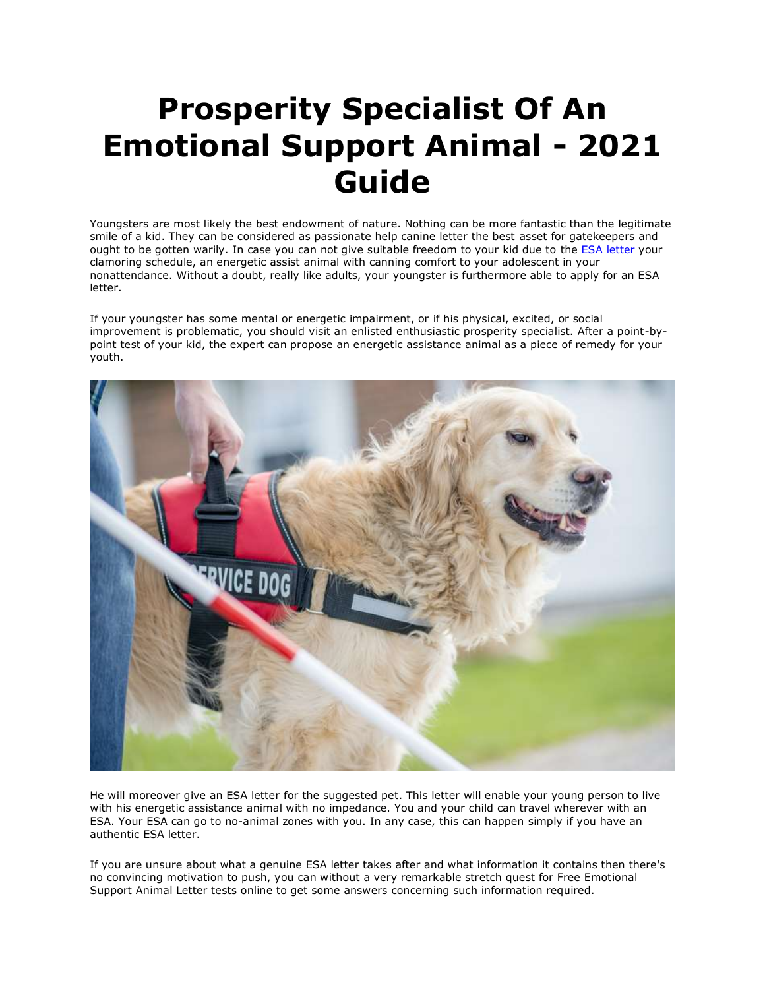## **Prosperity Specialist Of An Emotional Support Animal - 2021 Guide**

Youngsters are most likely the best endowment of nature. Nothing can be more fantastic than the legitimate smile of a kid. They can be considered as passionate help canine letter the best asset for gatekeepers and ought to be gotten warily. In case you can not give suitable freedom to your kid due to the [ESA letter](https://www.realesaletter.com/sample-esa-letter) your clamoring schedule, an energetic assist animal with canning comfort to your adolescent in your nonattendance. Without a doubt, really like adults, your youngster is furthermore able to apply for an ESA letter.

If your youngster has some mental or energetic impairment, or if his physical, excited, or social improvement is problematic, you should visit an enlisted enthusiastic prosperity specialist. After a point-bypoint test of your kid, the expert can propose an energetic assistance animal as a piece of remedy for your youth.



He will moreover give an ESA letter for the suggested pet. This letter will enable your young person to live with his energetic assistance animal with no impedance. You and your child can travel wherever with an ESA. Your ESA can go to no-animal zones with you. In any case, this can happen simply if you have an authentic ESA letter.

If you are unsure about what a genuine ESA letter takes after and what information it contains then there's no convincing motivation to push, you can without a very remarkable stretch quest for Free Emotional Support Animal Letter tests online to get some answers concerning such information required.